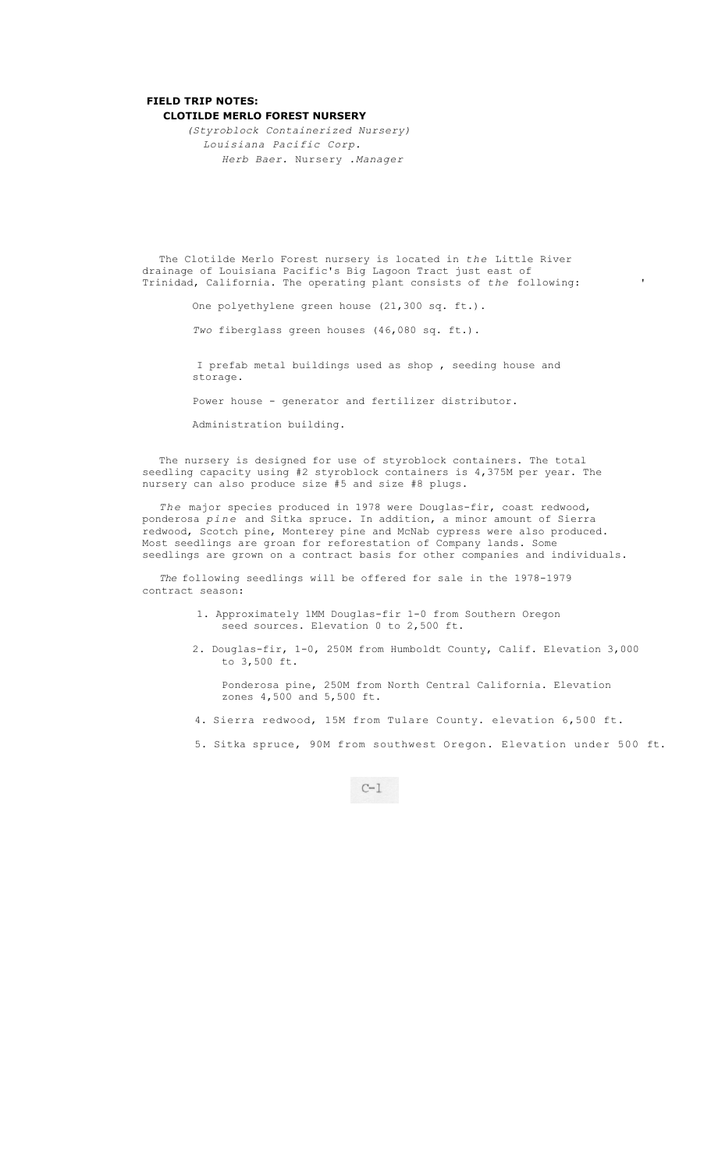## **FIELD TRIP NOTES: CLOTILDE MERLO FOREST NURSERY**

*(Styroblock Containerized Nursery) Louisiana Pacific Corp. Herb Baer.* Nursery *.Manager* 

The Clotilde Merlo Forest nursery is located in *the* Little River drainage of Louisiana Pacific's Big Lagoon Tract just east of Trinidad, California. The operating plant consists of *the* following: '

One polyethylene green house (21,300 sq. ft.).

*Two* fiberglass green houses (46,080 sq. ft.).

I prefab metal buildings used as shop , seeding house and storage.

Power house - generator and fertilizer distributor.

Administration building.

The nursery is designed for use of styroblock containers. The total seedling capacity using #2 styroblock containers is 4,375M per year. The nursery can also produce size #5 and size #8 plugs.

*The* major species produced in 1978 were Douglas-fir, coast redwood, ponderosa *pine* and Sitka spruce. In addition, a minor amount of Sierra redwood, Scotch pine, Monterey pine and McNab cypress were also produced. Most seedlings are groan for reforestation of Company lands. Some seedlings are grown on a contract basis for other companies and individuals.

*The* following seedlings will be offered for sale in the 1978-1979 contract season:

- 1. Approximately 1MM Douglas-fir 1-0 from Southern Oregon seed sources. Elevation 0 to 2,500 ft.
- 2. Douglas-fir, 1-0, 250M from Humboldt County, Calif. Elevation 3,000 to 3,500 ft.

Ponderosa pine, 250M from North Central California. Elevation zones 4,500 and 5,500 ft.

- 4. Sierra redwood, 15M from Tulare County. elevation 6,500 ft.
- 5. Sitka spruce, 90M from southwest Oregon. Elevation under 500 ft.

 $C-1$